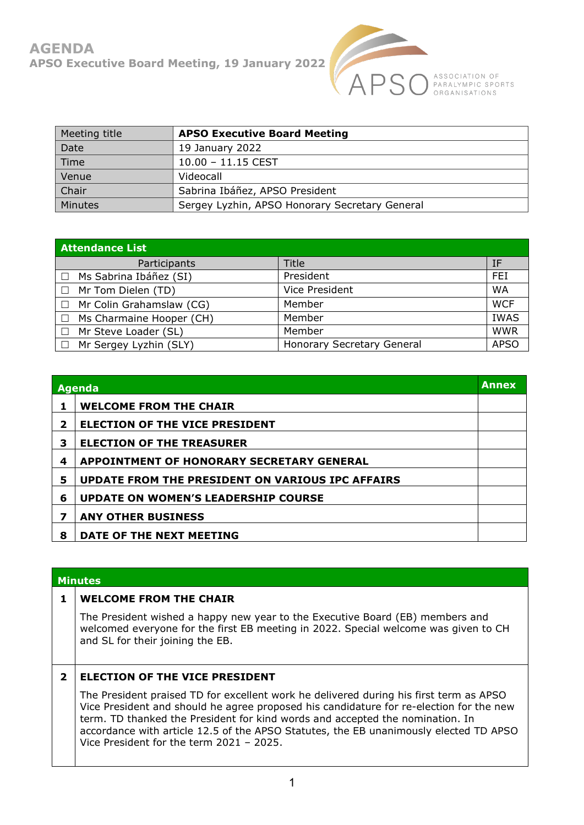

ASSOCIATION OF<br>PARALYMPIC SPORTS<br>ORGANISATIONS

| Meeting title | <b>APSO Executive Board Meeting</b>            |
|---------------|------------------------------------------------|
| Date          | 19 January 2022                                |
| Time          | $10.00 - 11.15$ CEST                           |
| Venue         | Videocall                                      |
| Chair         | Sabrina Ibáñez, APSO President                 |
| Minutes       | Sergey Lyzhin, APSO Honorary Secretary General |

| <b>Attendance List</b>   |                                   |             |  |  |
|--------------------------|-----------------------------------|-------------|--|--|
| Participants             | Title                             | ΙF          |  |  |
| Ms Sabrina Ibáñez (SI)   | President                         | FEI         |  |  |
| Mr Tom Dielen (TD)       | Vice President                    | <b>WA</b>   |  |  |
| Mr Colin Grahamslaw (CG) | Member                            | <b>WCF</b>  |  |  |
| Ms Charmaine Hooper (CH) | Member                            | <b>IWAS</b> |  |  |
| Mr Steve Loader (SL)     | Member                            | <b>WWR</b>  |  |  |
| Mr Sergey Lyzhin (SLY)   | <b>Honorary Secretary General</b> | <b>APSO</b> |  |  |

| Agenda       |                                                         | <b>Annex</b> |
|--------------|---------------------------------------------------------|--------------|
|              | <b>WELCOME FROM THE CHAIR</b>                           |              |
| $\mathbf{2}$ | <b>ELECTION OF THE VICE PRESIDENT</b>                   |              |
| 3            | <b>ELECTION OF THE TREASURER</b>                        |              |
| 4            | <b>APPOINTMENT OF HONORARY SECRETARY GENERAL</b>        |              |
| 5            | <b>UPDATE FROM THE PRESIDENT ON VARIOUS IPC AFFAIRS</b> |              |
| 6            | <b>UPDATE ON WOMEN'S LEADERSHIP COURSE</b>              |              |
| 7            | <b>ANY OTHER BUSINESS</b>                               |              |
| 8            | DATE OF THE NEXT MEETING                                |              |

| <b>Minutes</b> |                                                                                                                                                                                                                                                                                                                                                                                                         |  |
|----------------|---------------------------------------------------------------------------------------------------------------------------------------------------------------------------------------------------------------------------------------------------------------------------------------------------------------------------------------------------------------------------------------------------------|--|
|                | <b>WELCOME FROM THE CHAIR</b>                                                                                                                                                                                                                                                                                                                                                                           |  |
|                | The President wished a happy new year to the Executive Board (EB) members and<br>welcomed everyone for the first EB meeting in 2022. Special welcome was given to CH<br>and SL for their joining the EB.                                                                                                                                                                                                |  |
| $\overline{2}$ | <b>ELECTION OF THE VICE PRESIDENT</b>                                                                                                                                                                                                                                                                                                                                                                   |  |
|                | The President praised TD for excellent work he delivered during his first term as APSO<br>Vice President and should he agree proposed his candidature for re-election for the new<br>term. TD thanked the President for kind words and accepted the nomination. In<br>accordance with article 12.5 of the APSO Statutes, the EB unanimously elected TD APSO<br>Vice President for the term 2021 - 2025. |  |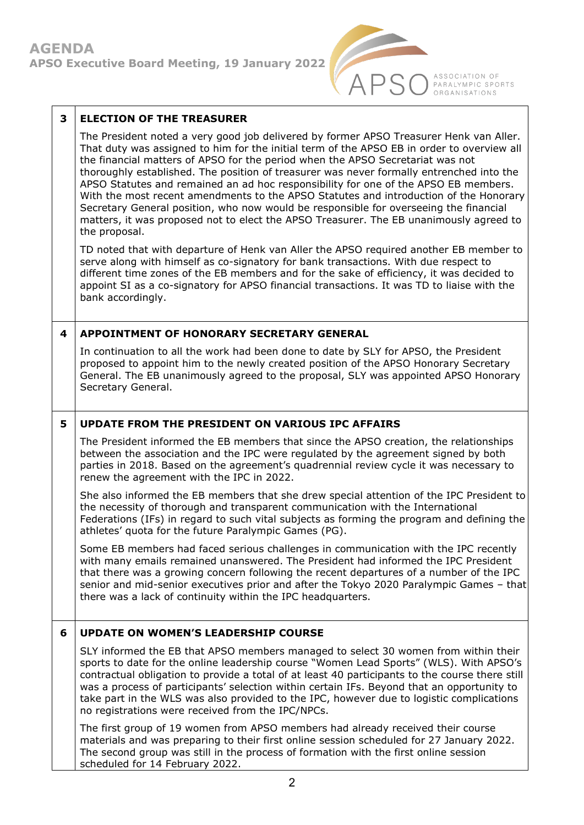

ASSOCIATION OF<br>PARALYMPIC SPORTS<br>ORGANISATIONS

| 3 | <b>ELECTION OF THE TREASURER</b>                                                                                                                                                                                                                                                                                                                                                                                                                                                                                                                                                                                                                                                                                                                       |
|---|--------------------------------------------------------------------------------------------------------------------------------------------------------------------------------------------------------------------------------------------------------------------------------------------------------------------------------------------------------------------------------------------------------------------------------------------------------------------------------------------------------------------------------------------------------------------------------------------------------------------------------------------------------------------------------------------------------------------------------------------------------|
|   | The President noted a very good job delivered by former APSO Treasurer Henk van Aller.<br>That duty was assigned to him for the initial term of the APSO EB in order to overview all<br>the financial matters of APSO for the period when the APSO Secretariat was not<br>thoroughly established. The position of treasurer was never formally entrenched into the<br>APSO Statutes and remained an ad hoc responsibility for one of the APSO EB members.<br>With the most recent amendments to the APSO Statutes and introduction of the Honorary<br>Secretary General position, who now would be responsible for overseeing the financial<br>matters, it was proposed not to elect the APSO Treasurer. The EB unanimously agreed to<br>the proposal. |
|   | TD noted that with departure of Henk van Aller the APSO required another EB member to<br>serve along with himself as co-signatory for bank transactions. With due respect to<br>different time zones of the EB members and for the sake of efficiency, it was decided to<br>appoint SI as a co-signatory for APSO financial transactions. It was TD to liaise with the<br>bank accordingly.                                                                                                                                                                                                                                                                                                                                                            |
| 4 | <b>APPOINTMENT OF HONORARY SECRETARY GENERAL</b>                                                                                                                                                                                                                                                                                                                                                                                                                                                                                                                                                                                                                                                                                                       |
|   | In continuation to all the work had been done to date by SLY for APSO, the President<br>proposed to appoint him to the newly created position of the APSO Honorary Secretary<br>General. The EB unanimously agreed to the proposal, SLY was appointed APSO Honorary<br>Secretary General.                                                                                                                                                                                                                                                                                                                                                                                                                                                              |
| 5 | <b>UPDATE FROM THE PRESIDENT ON VARIOUS IPC AFFAIRS</b>                                                                                                                                                                                                                                                                                                                                                                                                                                                                                                                                                                                                                                                                                                |
|   | The President informed the EB members that since the APSO creation, the relationships<br>between the association and the IPC were regulated by the agreement signed by both<br>parties in 2018. Based on the agreement's quadrennial review cycle it was necessary to<br>renew the agreement with the IPC in 2022.                                                                                                                                                                                                                                                                                                                                                                                                                                     |
|   | She also informed the EB members that she drew special attention of the IPC President to<br>the necessity of thorough and transparent communication with the International<br>Federations (IFs) in regard to such vital subjects as forming the program and defining the<br>athletes' quota for the future Paralympic Games (PG).                                                                                                                                                                                                                                                                                                                                                                                                                      |
|   | Some EB members had faced serious challenges in communication with the IPC recently<br>with many emails remained unanswered. The President had informed the IPC President<br>that there was a growing concern following the recent departures of a number of the IPC<br>senior and mid-senior executives prior and after the Tokyo 2020 Paralympic Games - that<br>there was a lack of continuity within the IPC headquarters.                                                                                                                                                                                                                                                                                                                         |
| 6 | <b>UPDATE ON WOMEN'S LEADERSHIP COURSE</b>                                                                                                                                                                                                                                                                                                                                                                                                                                                                                                                                                                                                                                                                                                             |
|   | SLY informed the EB that APSO members managed to select 30 women from within their<br>sports to date for the online leadership course "Women Lead Sports" (WLS). With APSO's<br>contractual obligation to provide a total of at least 40 participants to the course there still<br>was a process of participants' selection within certain IFs. Beyond that an opportunity to<br>take part in the WLS was also provided to the IPC, however due to logistic complications<br>no registrations were received from the IPC/NPCs.                                                                                                                                                                                                                         |
|   | The first group of 19 women from APSO members had already received their course<br>materials and was preparing to their first online session scheduled for 27 January 2022.<br>The second group was still in the process of formation with the first online session<br>scheduled for 14 February 2022.                                                                                                                                                                                                                                                                                                                                                                                                                                                 |